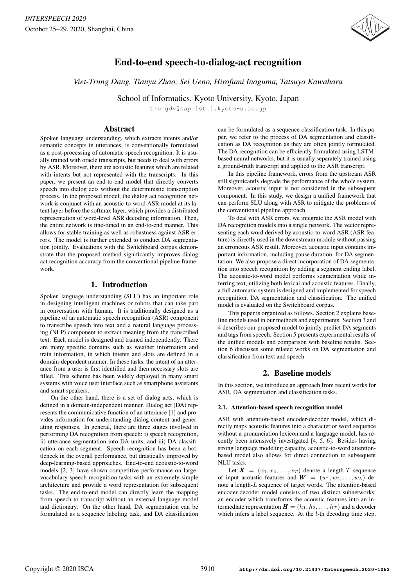

# End-to-end speech-to-dialog-act recognition

*Viet-Trung Dang, Tianyu Zhao, Sei Ueno, Hirofumi Inaguma, Tatsuya Kawahara*

School of Informatics, Kyoto University, Kyoto, Japan

trungdv@sap.ist.i.kyoto-u.ac.jp

## Abstract

Spoken language understanding, which extracts intents and/or semantic concepts in utterances, is conventionally formulated as a post-processing of automatic speech recognition. It is usually trained with oracle transcripts, but needs to deal with errors by ASR. Moreover, there are acoustic features which are related with intents but not represented with the transcripts. In this paper, we present an end-to-end model that directly converts speech into dialog acts without the deterministic transcription process. In the proposed model, the dialog act recognition network is conjunct with an acoustic-to-word ASR model at its latent layer before the softmax layer, which provides a distributed representation of word-level ASR decoding information. Then, the entire network is fine-tuned in an end-to-end manner. This allows for stable training as well as robustness against ASR errors. The model is further extended to conduct DA segmentation jointly. Evaluations with the Switchboard corpus demonstrate that the proposed method significantly improves dialog act recognition accuracy from the conventional pipeline framework.

## 1. Introduction

Spoken language understanding (SLU) has an important role in designing intelligent machines or robots that can take part in conversation with human. It is traditionally designed as a pipeline of an automatic speech recognition (ASR) component to transcribe speech into text and a natural language processing (NLP) component to extract meaning from the transcribed text. Each model is designed and trained independently. There are many specific domains such as weather information and train information, in which intents and slots are defined in a domain-dependent manner. In these tasks, the intent of an utterance from a user is first identified and then necessary slots are filled. This scheme has been widely deployed in many smart systems with voice user interface such as smartphone assistants and smart speakers.

On the other hand, there is a set of dialog acts, which is defined in a domain-independent manner. Dialog act (DA) represents the communicative function of an utterance [1] and provides information for understanding dialog content and generating responses. In general, there are three stages involved in performing DA recognition from speech: i) speech recognition, ii) utterance segmentation into DA units, and iii) DA classification on each segment. Speech recognition has been a bottleneck in the overall performance, but drastically improved by deep-learning-based approaches. End-to-end acoustic-to-word models [2, 3] have shown competitive performance on largevocabulary speech recognition tasks with an extremely simple architecture and provide a word representation for subsequent tasks. The end-to-end model can directly learn the mapping from speech to transcript without an external language model and dictionary. On the other hand, DA segmentation can be formulated as a sequence labeling task, and DA classification can be formulated as a sequence classification task. In this paper, we refer to the process of DA segmentation and classification as DA recognition as they are often jointly formulated. The DA recognition can be efficiently formulated using LSTMbased neural networks, but it is usually separately trained using a ground-truth transcript and applied to the ASR transcript.

In this pipeline framework, errors from the upstream ASR still significantly degrade the performance of the whole system. Moreover, acoustic input is not considered in the subsequent component. In this study, we design a unified framework that can perform SLU along with ASR to mitigate the problems of the conventional pipeline approach.

To deal with ASR errors, we integrate the ASR model with DA recognition models into a single network. The vector representing each word derived by acoustic-to-word ASR (ASR feature) is directly used in the downstream module without passing an erroneous ASR result. Moreover, acoustic input contains important information, including pause duration, for DA segmentation. We also propose a direct incorporation of DA segmentation into speech recognition by adding a segment ending label. The acoustic-to-word model performs segmentation while inferring text, utilizing both lexical and acoustic features. Finally, a full automatic system is designed and implemented for speech recognition, DA segmentation and classification. The unified model is evaluated on the Switchboard corpus.

This paper is organized as follows. Section 2 explains baseline models used in our methods and experiments. Section 3 and 4 describes our proposed model to jointly predict DA segments and tags from speech. Section 5 presents experimental results of the unified models and comparison with baseline results. Section 6 discusses some related works on DA segmentation and classification from text and speech.

## 2. Baseline models

In this section, we introduce an approach from recent works for ASR, DA segmentation and classification tasks.

## 2.1. Attention-based speech recognition model

ASR with attention-based encoder-decoder model, which directly maps acoustic features into a character or word sequence without a pronunciation lexicon and a language model, has recently been intensively investigated [4, 5, 6]. Besides having strong language modeling capacity, acoustic-to-word attentionbased model also allows for direct connection to subsequent NLU tasks.

Let  $X = (x_1, x_2, \ldots, x_T)$  denote a length-T sequence of input acoustic features and  $\mathbf{W} = (w_1, w_2, \dots, w_L)$  denote a length-L sequence of target words. The attention-based encoder-decoder model consists of two distinct subnetworks: an encoder which transforms the acoustic features into an intermediate representation  $\boldsymbol{H} = (h_1, h_2, \dots, h_T)$  and a decoder which infers a label sequence. At the  $l$ -th decoding time step,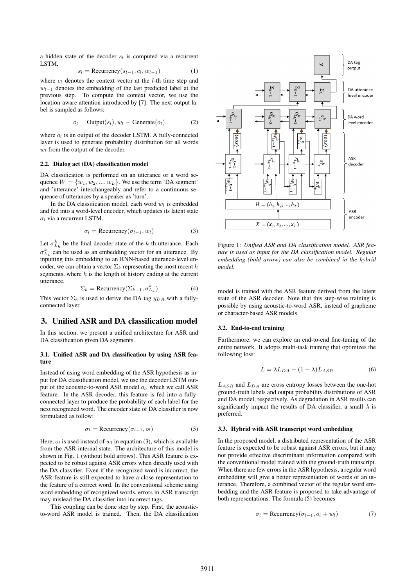a hidden state of the decoder  $s_l$  is computed via a recurrent LSTM,

$$
s_l = \text{Recurrency}(s_{l-1}, c_l, w_{l-1}) \tag{1}
$$

where  $c_l$  denotes the context vector at the *l*-th time step and  $w_{l-1}$  denotes the embedding of the last predicted label at the previous step. To compute the context vector, we use the location-aware attention introduced by [7]. The next output label is sampled as follows:

$$
o_l = \text{Output}(s_l), w_l \sim \text{Generate}(o_l) \tag{2}
$$

where  $o_l$  is an output of the decoder LSTM. A fully-connected layer is used to generate probability distribution for all words  $w_l$  from the output of the decoder.

## 2.2. Dialog act (DA) classification model

DA classification is performed on an utterance or a word sequence  $W = \{w_1, w_2, ..., w_L\}$ . We use the term 'DA segment' and 'utterance' interchangeably and refer to a continuous sequence of utterances by a speaker as 'turn'.

In the DA classification model, each word  $w_i$  is embedded and fed into a word-level encoder, which updates its latent state  $\sigma_l$  via a recurrent LSTM.

$$
\sigma_l = \text{Recurrency}(\sigma_{l-1}, w_l) \tag{3}
$$

Let  $\sigma_{L_k}^k$  be the final decoder state of the k-th utterance. Each  $\sigma_{L_k}^k$  can be used as an embedding vector for an utterance. By inputting this embedding to an RNN-based utterance-level encoder, we can obtain a vector  $\Sigma_k$  representing the most recent h segments, where  $h$  is the length of history ending at the current utterance.

$$
\Sigma_k = \text{Recurrency}(\Sigma_{k-1}, \sigma_{L_k}^k)
$$
 (4)

This vector  $\Sigma_k$  is used to derive the DA tag  $y_{DA}$  with a fullyconnected layer.

## 3. Unified ASR and DA classification model

In this section, we present a unified architecture for ASR and DA classification given DA segments.

## 3.1. Unified ASR and DA classification by using ASR feature

Instead of using word embedding of the ASR hypothesis as input for DA classification model, we use the decoder LSTM output of the acoustic-to-word ASR model  $o_l$ , which we call ASR feature. In the ASR decoder, this feature is fed into a fullyconnected layer to produce the probability of each label for the next recognized word. The encoder state of DA classifier is now formulated as follow:

$$
\sigma_l = \text{Recurrency}(\sigma_{l-1}, o_l) \tag{5}
$$

Here,  $o_l$  is used instead of  $w_l$  in equation (3), which is available from the ASR internal state. The architecture of this model is shown in Fig. 1 (without bold arrows). This ASR feature is expected to be robust against ASR errors when directly used with the DA classifier. Even if the recognized word is incorrect, the ASR feature is still expected to have a close representation to the feature of a correct word. In the conventional scheme using word embedding of recognized words, errors in ASR transcript may mislead the DA classifier into incorrect tags.

This coupling can be done step by step. First, the acousticto-word ASR model is trained. Then, the DA classification



Figure 1: *Unified ASR and DA classification model. ASR feature is used as input for the DA classification model. Regular embedding (bold arrow) can also be combined in the hybrid model.*

model is trained with the ASR feature derived from the latent state of the ASR decoder. Note that this step-wise training is possible by using acoustic-to-word ASR, instead of grapheme or character-based ASR models

#### 3.2. End-to-end training

Furthermore, we can explore an end-to-end fine-tuning of the entire network. It adopts multi-task training that optimizes the following loss:

$$
L = \lambda L_{DA} + (1 - \lambda) L_{ASR}
$$
 (6)

 $L_{ASR}$  and  $L_{DA}$  are cross entropy losses between the one-hot ground-truth labels and output probability distributions of ASR and DA model, respectively. As degradation in ASR results can significantly impact the results of DA classifier, a small  $\lambda$  is preferred.

#### 3.3. Hybrid with ASR transcript word embedding

In the proposed model, a distributed representation of the ASR feature is expected to be robust against ASR errors, but it may not provide effective discriminant information compared with the conventional model trained with the ground-truth transcript. When there are few errors in the ASR hypothesis, a regular word embedding will give a better representation of words of an utterance. Therefore, a combined vector of the regular word embedding and the ASR feature is proposed to take advantage of both representations. The formula (5) becomes

$$
\sigma_l = \text{Recurrency}(\sigma_{l-1}, o_l + w_l) \tag{7}
$$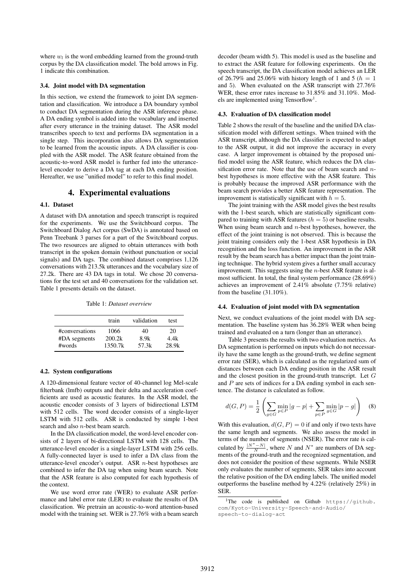where  $w_l$  is the word embedding learned from the ground-truth corpus by the DA classification model. The bold arrows in Fig. 1 indicate this combination.

#### 3.4. Joint model with DA segmentation

In this section, we extend the framework to joint DA segmentation and classification. We introduce a DA boundary symbol to conduct DA segmentation during the ASR inference phase. A DA ending symbol is added into the vocabulary and inserted after every utterance in the training dataset. The ASR model transcribes speech to text and performs DA segmentation in a single step. This incorporation also allows DA segmentation to be learned from the acoustic inputs. A DA classifier is coupled with the ASR model. The ASR feature obtained from the acoustic-to-word ASR model is further fed into the utterancelevel encoder to derive a DA tag at each DA ending position. Hereafter, we use "unified model" to refer to this final model.

## 4. Experimental evaluations

#### 4.1. Dataset

A dataset with DA annotation and speech transcript is required for the experiments. We use the Switchboard corpus. The Switchboard Dialog Act corpus (SwDA) is annotated based on Penn Treebank 3 parses for a part of the Switchboard corpus. The two resources are aligned to obtain utterances with both transcript in the spoken domain (without punctuation or social signals) and DA tags. The combined dataset comprises 1,126 conversations with 213.5k utterances and the vocabulary size of 27.2k. There are 43 DA tags in total. We chose 20 conversations for the test set and 40 conversations for the validation set. Table 1 presents details on the dataset.

Table 1: *Dataset overview*

|                | train   | validation | test  |
|----------------|---------|------------|-------|
| #conversations | 1066    | 40         | 20    |
| #DA segments   | 200.2k  | 8.9k       | 4.4k  |
| #words         | 1350.7k | 57.3k      | 28.9k |

## 4.2. System configurations

A 120-dimensional feature vector of 40-channel log Mel-scale filterbank (lmfb) outputs and their delta and acceleration coefficients are used as acoustic features. In the ASR model, the acoustic encoder consists of 3 layers of bidirectional LSTM with 512 cells. The word decoder consists of a single-layer LSTM with 512 cells. ASR is conducted by simple 1-best search and also n-best beam search.

In the DA classification model, the word-level encoder consists of 2 layers of bi-directional LSTM with 128 cells. The utterance-level encoder is a single-layer LSTM with 256 cells. A fully-connected layer is used to infer a DA class from the utterance-level encoder's output. ASR n-best hypotheses are combined to infer the DA tag when using beam search. Note that the ASR feature is also computed for each hypothesis of the context.

We use word error rate (WER) to evaluate ASR performance and label error rate (LER) to evaluate the results of DA classification. We pretrain an acoustic-to-word attention-based model with the training set. WER is 27.76% with a beam search decoder (beam width 5). This model is used as the baseline and to extract the ASR feature for following experiments. On the speech transcript, the DA classification model achieves an LER of 26.79% and 25.06% with history length of 1 and 5 ( $h = 1$ ) and 5). When evaluated on the ASR transcript with 27.76% WER, these error rates increase to 31.85% and 31.10%. Models are implemented using Tensorflow<sup>1</sup>.

#### 4.3. Evaluation of DA classification model

Table 2 shows the result of the baseline and the unified DA classification model with different settings. When trained with the ASR transcript, although the DA classifier is expected to adapt to the ASR output, it did not improve the accuracy in every case. A larger improvement is obtained by the proposed unified model using the ASR feature, which reduces the DA classification error rate. Note that the use of beam search and nbest hypotheses is more effective with the ASR feature. This is probably because the improved ASR performance with the beam search provides a better ASR feature representation. The improvement is statistically significant with  $h = 5$ .

The joint training with the ASR model gives the best results with the 1-best search, which are statistically significant compared to training with ASR features ( $h = 5$ ) or baseline results. When using beam search and  $n$ -best hypotheses, however, the effect of the joint training is not observed. This is because the joint training considers only the 1-best ASR hypothesis in DA recognition and the loss function. An improvement in the ASR result by the beam search has a better impact than the joint training technique. The hybrid system gives a further small accuracy improvement. This suggests using the  $n$ -best ASR feature is almost sufficient. In total, the final system performance (28.69%) achieves an improvement of 2.41% absolute (7.75% relative) from the baseline (31.10%).

#### 4.4. Evaluation of joint model with DA segmentation

Next, we conduct evaluations of the joint model with DA segmentation. The baseline system has 36.28% WER when being trained and evaluated on a turn (longer than an utterance).

Table 3 presents the results with two evaluation metrics. As DA segmentation is performed on inputs which do not necessarily have the same length as the ground-truth, we define segment error rate (SER), which is calculated as the regularized sum of distances between each DA ending position in the ASR result and the closest position in the ground-truth transcript. Let G and  $P$  are sets of indices for a DA ending symbol in each sentence. The distance is calculated as follow.

$$
d(G, P) = \frac{1}{2} \left( \sum_{g \in G} \min_{p \in P} |g - p| + \sum_{p \in P} \min_{g \in G} |p - g| \right) \quad (8)
$$

With this evaluation,  $d(G, P) = 0$  if and only if two texts have the same length and segments. We also assess the model in terms of the number of segments (NSER). The error rate is calculated by  $\frac{|N^*-N|}{N}$ , where N and  $N^*$  are numbers of DA segments of the ground-truth and the recognized segmentation, and does not consider the position of these segments. While NSER only evaluates the number of segments, SER takes into account the relative position of the DA ending labels. The unified model outperforms the baseline method by 4.22% (relatively 25%) in SER.

<sup>1</sup>The code is published on Github https://github. com/Kyoto-University-Speech-and-Audio/ speech-to-dialog-act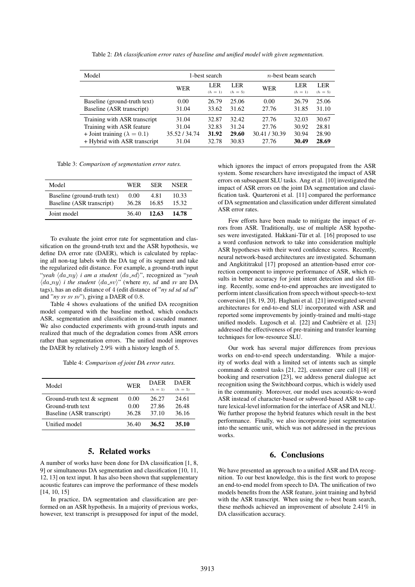Table 2: *DA classification error rates of baseline and unified model with given segmentation.*

| Model                                                                                                                             | 1-best search                            |                                  |                                  | $n$ -best beam search                  |                                  |                                  |
|-----------------------------------------------------------------------------------------------------------------------------------|------------------------------------------|----------------------------------|----------------------------------|----------------------------------------|----------------------------------|----------------------------------|
|                                                                                                                                   | WER                                      | LER<br>$(h = 1)$                 | LER<br>$(h = 5)$                 | WER                                    | LER<br>$(h = 1)$                 | LER<br>$(h = 5)$                 |
|                                                                                                                                   |                                          |                                  |                                  |                                        |                                  |                                  |
| Baseline (ground-truth text)<br>Baseline (ASR transcript)                                                                         | 0.00<br>31.04                            | 26.79<br>33.62                   | 25.06<br>31.62                   | 0.00<br>27.76                          | 26.79<br>31.85                   | 25.06<br>31.10                   |
| Training with ASR transcript<br>Training with ASR feature<br>+ Joint training ( $\lambda = 0.1$ )<br>+ Hybrid with ASR transcript | 31.04<br>31.04<br>35.52 / 34.74<br>31.04 | 32.87<br>32.83<br>31.92<br>32.78 | 32.42<br>31.24<br>29.60<br>30.83 | 27.76<br>27.76<br>30.41/30.39<br>27.76 | 32.03<br>30.92<br>30.94<br>30.49 | 30.67<br>28.81<br>28.90<br>28.69 |

Table 3: *Comparison of segmentation error rates.*

| Model                                                     | <b>WER</b>    | <b>SER</b>    | <b>NSER</b>    |
|-----------------------------------------------------------|---------------|---------------|----------------|
| Baseline (ground-truth text)<br>Baseline (ASR transcript) | 0.00<br>36.28 | 4.81<br>16.85 | 10.33<br>15.32 |
| Joint model                                               | 36.40         | 12.63         | 14.78          |

To evaluate the joint error rate for segmentation and classification on the ground-truth text and the ASR hypothesis, we define DA error rate (DAER), which is calculated by replacing all non-tag labels with the DA tag of its segment and take the regularized edit distance. For example, a ground-truth input "*yeah*  $\langle da_{ny} \rangle$  *i am a student*  $\langle da_{sd} \rangle$ ", recognized as "*yeah*  $\langle da_{ny} \rangle$  *i the student*  $\langle da_{sv} \rangle$ " (where *ny*, *sd* and *sv* are DA tags), has an edit distance of 4 (edit distance of "*ny sd sd sd sd*" and "*ny sv sv sv*"), giving a DAER of 0.8.

Table 4 shows evaluations of the unified DA recognition model compared with the baseline method, which conducts ASR, segmentation and classification in a cascaded manner. We also conducted experiments with ground-truth inputs and realized that much of the degradation comes from ASR errors rather than segmentation errors. The unified model improves the DAER by relatively 2.9% with a history length of 5.

Table 4: *Comparison of joint DA error rates.*

| Model                                                                         | <b>WER</b>            | DAER<br>$(h = 1)$       | <b>DAER</b><br>$(h = 5)$ |
|-------------------------------------------------------------------------------|-----------------------|-------------------------|--------------------------|
| Ground-truth text & segment<br>Ground-truth text<br>Baseline (ASR transcript) | 0.00<br>0.00<br>36.28 | 26.27<br>27.86<br>37.10 | 24.61<br>26.48<br>36.16  |
| Unified model                                                                 | 36.40                 | 36.52                   | 35.10                    |

## 5. Related works

A number of works have been done for DA classification [1, 8, 9] or simultaneous DA segmentation and classification [10, 11, 12, 13] on text input. It has also been shown that supplementary acoustic features can improve the performance of these models [14, 10, 15]

In practice, DA segmentation and classification are performed on an ASR hypothesis. In a majority of previous works, however, text transcript is presupposed for input of the model,

which ignores the impact of errors propagated from the ASR system. Some researchers have investigated the impact of ASR errors on subsequent SLU tasks. Ang et al. [10] investigated the impact of ASR errors on the joint DA segmentation and classification task. Quarteroni et al. [11] compared the performance of DA segmentation and classification under different simulated ASR error rates.

Few efforts have been made to mitigate the impact of errors from ASR. Traditionally, use of multiple ASR hypotheses were investigated. Hakkani-Tür et al. [16] proposed to use a word confusion network to take into consideration multiple ASR hypotheses with their word confidence scores. Recently, neural network-based architectures are investigated. Schumann and Angkititrakul [17] proposed an attention-based error correction component to improve performance of ASR, which results in better accuracy for joint intent detection and slot filling. Recently, some end-to-end approaches are investigated to perform intent classification from speech without speech-to-text conversion [18, 19, 20]. Haghani et al. [21] investigated several architectures for end-to-end SLU incorporated with ASR and reported some improvements by jointly-trained and multi-stage unified models. Lugosch et al. [22] and Caubrière et al. [23] addressed the effectiveness of pre-training and transfer learning techniques for low-resource SLU.

Our work has several major differences from previous works on end-to-end speech understanding. While a majority of works deal with a limited set of intents such as simple command & control tasks [21, 22], customer care call [18] or booking and reservation [23], we address general dialogue act recognition using the Switchboard corpus, which is widely used in the community. Moreover, our model uses acoustic-to-word ASR instead of character-based or subword-based ASR to capture lexical-level information for the interface of ASR and NLU. We further propose the hybrid features which result in the best performance. Finally, we also incorporate joint segmentation into the semantic unit, which was not addressed in the previous works.

## 6. Conclusions

We have presented an approach to a unified ASR and DA recognition. To our best knowledge, this is the first work to propose an end-to-end model from speech to DA. The unification of two models benefits from the ASR feature, joint training and hybrid with the ASR transcript. When using the  $n$ -best beam search, these methods achieved an improvement of absolute 2.41% in DA classification accuracy.